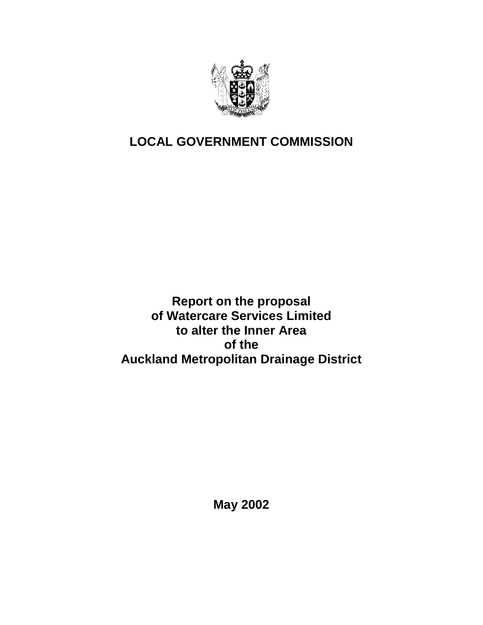

# **LOCAL GOVERNMENT COMMISSION**

**Report on the proposal of Watercare Services Limited to alter the Inner Area of the Auckland Metropolitan Drainage District** 

**May 2002**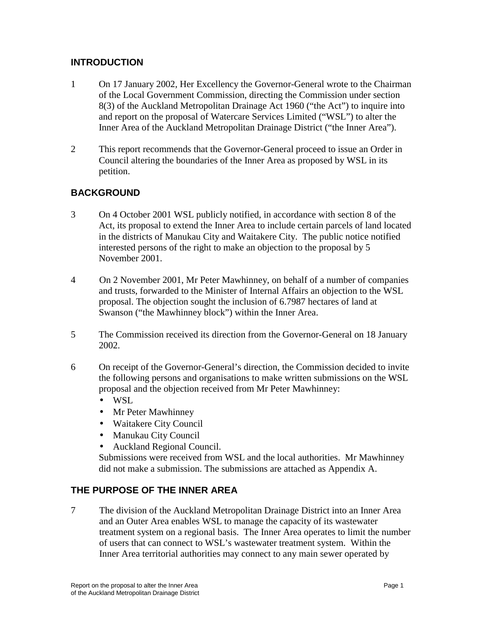# **INTRODUCTION**

- 1 On 17 January 2002, Her Excellency the Governor-General wrote to the Chairman of the Local Government Commission, directing the Commission under section 8(3) of the Auckland Metropolitan Drainage Act 1960 ("the Act") to inquire into and report on the proposal of Watercare Services Limited ("WSL") to alter the Inner Area of the Auckland Metropolitan Drainage District ("the Inner Area").
- 2 This report recommends that the Governor-General proceed to issue an Order in Council altering the boundaries of the Inner Area as proposed by WSL in its petition.

# **BACKGROUND**

- 3 On 4 October 2001 WSL publicly notified, in accordance with section 8 of the Act, its proposal to extend the Inner Area to include certain parcels of land located in the districts of Manukau City and Waitakere City. The public notice notified interested persons of the right to make an objection to the proposal by 5 November 2001.
- 4 On 2 November 2001, Mr Peter Mawhinney, on behalf of a number of companies and trusts, forwarded to the Minister of Internal Affairs an objection to the WSL proposal. The objection sought the inclusion of 6.7987 hectares of land at Swanson ("the Mawhinney block") within the Inner Area.
- 5 The Commission received its direction from the Governor-General on 18 January 2002.
- 6 On receipt of the Governor-General's direction, the Commission decided to invite the following persons and organisations to make written submissions on the WSL proposal and the objection received from Mr Peter Mawhinney:
	- WSL
	- Mr Peter Mawhinney
	- Waitakere City Council
	- Manukau City Council
	- Auckland Regional Council.

Submissions were received from WSL and the local authorities. Mr Mawhinney did not make a submission. The submissions are attached as Appendix A.

#### **THE PURPOSE OF THE INNER AREA**

7 The division of the Auckland Metropolitan Drainage District into an Inner Area and an Outer Area enables WSL to manage the capacity of its wastewater treatment system on a regional basis. The Inner Area operates to limit the number of users that can connect to WSL's wastewater treatment system. Within the Inner Area territorial authorities may connect to any main sewer operated by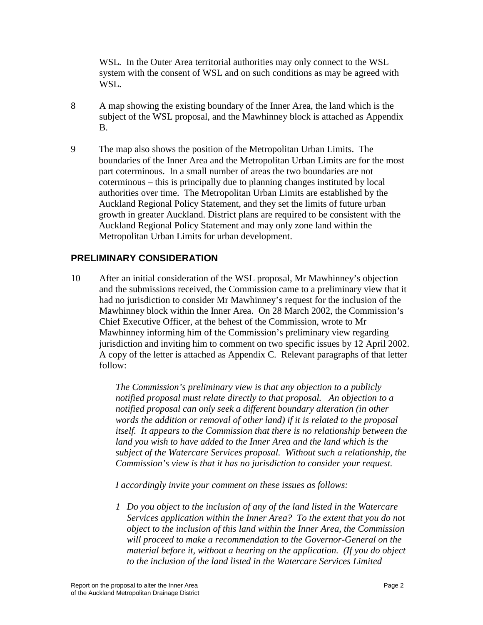WSL. In the Outer Area territorial authorities may only connect to the WSL system with the consent of WSL and on such conditions as may be agreed with WSL.

- 8 A map showing the existing boundary of the Inner Area, the land which is the subject of the WSL proposal, and the Mawhinney block is attached as Appendix B.
- 9 The map also shows the position of the Metropolitan Urban Limits. The boundaries of the Inner Area and the Metropolitan Urban Limits are for the most part coterminous. In a small number of areas the two boundaries are not coterminous – this is principally due to planning changes instituted by local authorities over time. The Metropolitan Urban Limits are established by the Auckland Regional Policy Statement, and they set the limits of future urban growth in greater Auckland. District plans are required to be consistent with the Auckland Regional Policy Statement and may only zone land within the Metropolitan Urban Limits for urban development.

## **PRELIMINARY CONSIDERATION**

10 After an initial consideration of the WSL proposal, Mr Mawhinney's objection and the submissions received, the Commission came to a preliminary view that it had no jurisdiction to consider Mr Mawhinney's request for the inclusion of the Mawhinney block within the Inner Area. On 28 March 2002, the Commission's Chief Executive Officer, at the behest of the Commission, wrote to Mr Mawhinney informing him of the Commission's preliminary view regarding jurisdiction and inviting him to comment on two specific issues by 12 April 2002. A copy of the letter is attached as Appendix C. Relevant paragraphs of that letter follow:

> *The Commission's preliminary view is that any objection to a publicly notified proposal must relate directly to that proposal. An objection to a notified proposal can only seek a different boundary alteration (in other words the addition or removal of other land) if it is related to the proposal itself.* It appears to the Commission that there is no relationship between the land you wish to have added to the Inner Area and the land which is the *subject of the Watercare Services proposal. Without such a relationship, the Commission's view is that it has no jurisdiction to consider your request.*

*I accordingly invite your comment on these issues as follows:* 

*1 Do you object to the inclusion of any of the land listed in the Watercare Services application within the Inner Area? To the extent that you do not object to the inclusion of this land within the Inner Area, the Commission will proceed to make a recommendation to the Governor-General on the material before it, without a hearing on the application. (If you do object to the inclusion of the land listed in the Watercare Services Limited*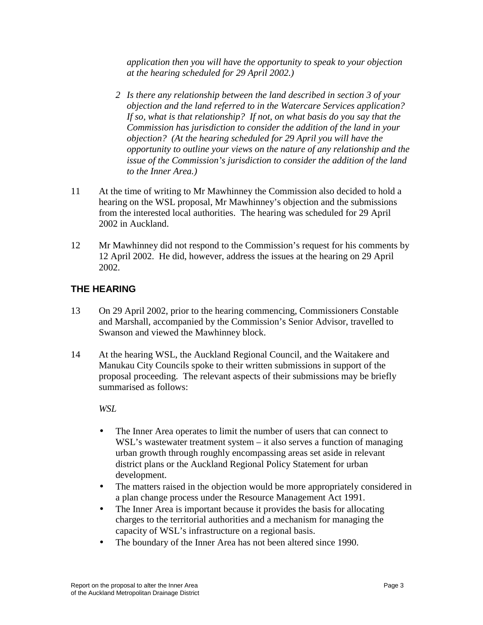*application then you will have the opportunity to speak to your objection at the hearing scheduled for 29 April 2002.)* 

- *2 Is there any relationship between the land described in section 3 of your objection and the land referred to in the Watercare Services application? If so, what is that relationship? If not, on what basis do you say that the Commission has jurisdiction to consider the addition of the land in your objection? (At the hearing scheduled for 29 April you will have the opportunity to outline your views on the nature of any relationship and the issue of the Commission's jurisdiction to consider the addition of the land to the Inner Area.)*
- 11 At the time of writing to Mr Mawhinney the Commission also decided to hold a hearing on the WSL proposal, Mr Mawhinney's objection and the submissions from the interested local authorities. The hearing was scheduled for 29 April 2002 in Auckland.
- 12 Mr Mawhinney did not respond to the Commission's request for his comments by 12 April 2002. He did, however, address the issues at the hearing on 29 April 2002.

## **THE HEARING**

- 13 On 29 April 2002, prior to the hearing commencing, Commissioners Constable and Marshall, accompanied by the Commission's Senior Advisor, travelled to Swanson and viewed the Mawhinney block.
- 14 At the hearing WSL, the Auckland Regional Council, and the Waitakere and Manukau City Councils spoke to their written submissions in support of the proposal proceeding. The relevant aspects of their submissions may be briefly summarised as follows:

*WSL* 

- The Inner Area operates to limit the number of users that can connect to WSL's wastewater treatment system – it also serves a function of managing urban growth through roughly encompassing areas set aside in relevant district plans or the Auckland Regional Policy Statement for urban development.
- The matters raised in the objection would be more appropriately considered in a plan change process under the Resource Management Act 1991.
- The Inner Area is important because it provides the basis for allocating charges to the territorial authorities and a mechanism for managing the capacity of WSL's infrastructure on a regional basis.
- The boundary of the Inner Area has not been altered since 1990.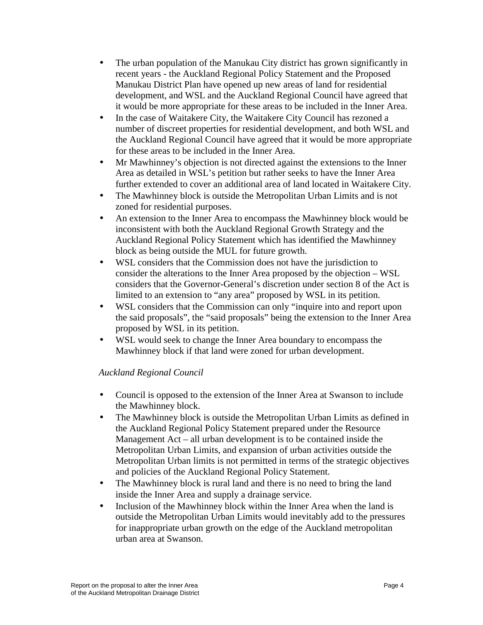- The urban population of the Manukau City district has grown significantly in recent years - the Auckland Regional Policy Statement and the Proposed Manukau District Plan have opened up new areas of land for residential development, and WSL and the Auckland Regional Council have agreed that it would be more appropriate for these areas to be included in the Inner Area.
- In the case of Waitakere City, the Waitakere City Council has rezoned a number of discreet properties for residential development, and both WSL and the Auckland Regional Council have agreed that it would be more appropriate for these areas to be included in the Inner Area.
- Mr Mawhinney's objection is not directed against the extensions to the Inner Area as detailed in WSL's petition but rather seeks to have the Inner Area further extended to cover an additional area of land located in Waitakere City.
- The Mawhinney block is outside the Metropolitan Urban Limits and is not zoned for residential purposes.
- An extension to the Inner Area to encompass the Mawhinney block would be inconsistent with both the Auckland Regional Growth Strategy and the Auckland Regional Policy Statement which has identified the Mawhinney block as being outside the MUL for future growth.
- WSL considers that the Commission does not have the jurisdiction to consider the alterations to the Inner Area proposed by the objection – WSL considers that the Governor-General's discretion under section 8 of the Act is limited to an extension to "any area" proposed by WSL in its petition.
- WSL considers that the Commission can only "inquire into and report upon the said proposals", the "said proposals" being the extension to the Inner Area proposed by WSL in its petition.
- WSL would seek to change the Inner Area boundary to encompass the Mawhinney block if that land were zoned for urban development.

# *Auckland Regional Council*

- Council is opposed to the extension of the Inner Area at Swanson to include the Mawhinney block.
- The Mawhinney block is outside the Metropolitan Urban Limits as defined in the Auckland Regional Policy Statement prepared under the Resource Management Act – all urban development is to be contained inside the Metropolitan Urban Limits, and expansion of urban activities outside the Metropolitan Urban limits is not permitted in terms of the strategic objectives and policies of the Auckland Regional Policy Statement.
- The Mawhinney block is rural land and there is no need to bring the land inside the Inner Area and supply a drainage service.
- Inclusion of the Mawhinney block within the Inner Area when the land is outside the Metropolitan Urban Limits would inevitably add to the pressures for inappropriate urban growth on the edge of the Auckland metropolitan urban area at Swanson.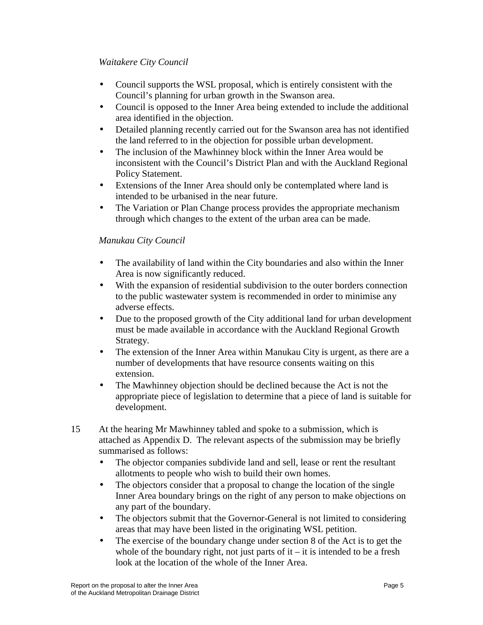#### *Waitakere City Council*

- Council supports the WSL proposal, which is entirely consistent with the Council's planning for urban growth in the Swanson area.
- Council is opposed to the Inner Area being extended to include the additional area identified in the objection.
- Detailed planning recently carried out for the Swanson area has not identified the land referred to in the objection for possible urban development.
- The inclusion of the Mawhinney block within the Inner Area would be inconsistent with the Council's District Plan and with the Auckland Regional Policy Statement.
- Extensions of the Inner Area should only be contemplated where land is intended to be urbanised in the near future.
- The Variation or Plan Change process provides the appropriate mechanism through which changes to the extent of the urban area can be made.

#### *Manukau City Council*

- The availability of land within the City boundaries and also within the Inner Area is now significantly reduced.
- With the expansion of residential subdivision to the outer borders connection to the public wastewater system is recommended in order to minimise any adverse effects.
- Due to the proposed growth of the City additional land for urban development must be made available in accordance with the Auckland Regional Growth Strategy.
- The extension of the Inner Area within Manukau City is urgent, as there are a number of developments that have resource consents waiting on this extension.
- The Mawhinney objection should be declined because the Act is not the appropriate piece of legislation to determine that a piece of land is suitable for development.
- 15 At the hearing Mr Mawhinney tabled and spoke to a submission, which is attached as Appendix D. The relevant aspects of the submission may be briefly summarised as follows:
	- The objector companies subdivide land and sell, lease or rent the resultant allotments to people who wish to build their own homes.
	- The objectors consider that a proposal to change the location of the single Inner Area boundary brings on the right of any person to make objections on any part of the boundary.
	- The objectors submit that the Governor-General is not limited to considering areas that may have been listed in the originating WSL petition.
	- The exercise of the boundary change under section 8 of the Act is to get the whole of the boundary right, not just parts of it – it is intended to be a fresh look at the location of the whole of the Inner Area.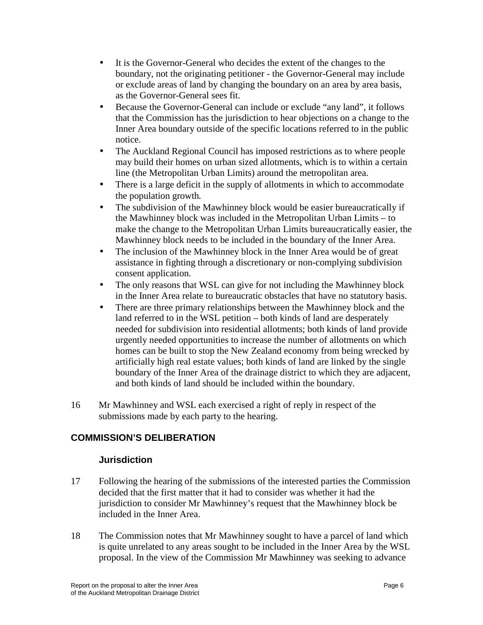- It is the Governor-General who decides the extent of the changes to the boundary, not the originating petitioner - the Governor-General may include or exclude areas of land by changing the boundary on an area by area basis, as the Governor-General sees fit.
- Because the Governor-General can include or exclude "any land", it follows that the Commission has the jurisdiction to hear objections on a change to the Inner Area boundary outside of the specific locations referred to in the public notice.
- The Auckland Regional Council has imposed restrictions as to where people may build their homes on urban sized allotments, which is to within a certain line (the Metropolitan Urban Limits) around the metropolitan area.
- There is a large deficit in the supply of allotments in which to accommodate the population growth*.*
- The subdivision of the Mawhinney block would be easier bureaucratically if the Mawhinney block was included in the Metropolitan Urban Limits – to make the change to the Metropolitan Urban Limits bureaucratically easier, the Mawhinney block needs to be included in the boundary of the Inner Area.
- The inclusion of the Mawhinney block in the Inner Area would be of great assistance in fighting through a discretionary or non-complying subdivision consent application.
- The only reasons that WSL can give for not including the Mawhinney block in the Inner Area relate to bureaucratic obstacles that have no statutory basis.
- There are three primary relationships between the Mawhinney block and the land referred to in the WSL petition – both kinds of land are desperately needed for subdivision into residential allotments; both kinds of land provide urgently needed opportunities to increase the number of allotments on which homes can be built to stop the New Zealand economy from being wrecked by artificially high real estate values; both kinds of land are linked by the single boundary of the Inner Area of the drainage district to which they are adjacent, and both kinds of land should be included within the boundary.
- 16 Mr Mawhinney and WSL each exercised a right of reply in respect of the submissions made by each party to the hearing.

# **COMMISSION'S DELIBERATION**

#### **Jurisdiction**

- 17 Following the hearing of the submissions of the interested parties the Commission decided that the first matter that it had to consider was whether it had the jurisdiction to consider Mr Mawhinney's request that the Mawhinney block be included in the Inner Area.
- 18 The Commission notes that Mr Mawhinney sought to have a parcel of land which is quite unrelated to any areas sought to be included in the Inner Area by the WSL proposal. In the view of the Commission Mr Mawhinney was seeking to advance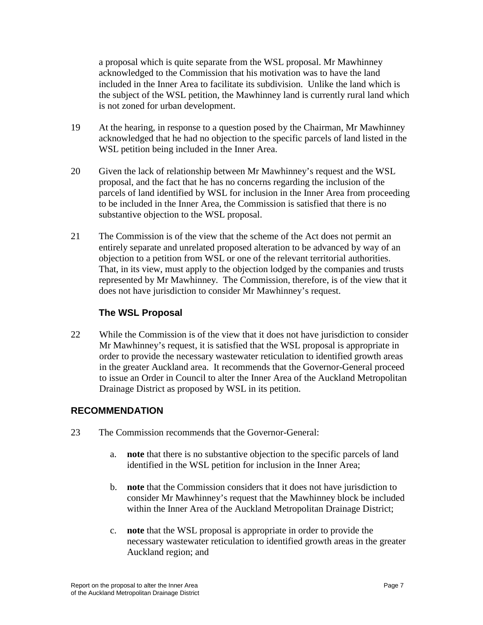a proposal which is quite separate from the WSL proposal. Mr Mawhinney acknowledged to the Commission that his motivation was to have the land included in the Inner Area to facilitate its subdivision. Unlike the land which is the subject of the WSL petition, the Mawhinney land is currently rural land which is not zoned for urban development.

- 19 At the hearing, in response to a question posed by the Chairman, Mr Mawhinney acknowledged that he had no objection to the specific parcels of land listed in the WSL petition being included in the Inner Area.
- 20 Given the lack of relationship between Mr Mawhinney's request and the WSL proposal, and the fact that he has no concerns regarding the inclusion of the parcels of land identified by WSL for inclusion in the Inner Area from proceeding to be included in the Inner Area, the Commission is satisfied that there is no substantive objection to the WSL proposal.
- 21 The Commission is of the view that the scheme of the Act does not permit an entirely separate and unrelated proposed alteration to be advanced by way of an objection to a petition from WSL or one of the relevant territorial authorities. That, in its view, must apply to the objection lodged by the companies and trusts represented by Mr Mawhinney. The Commission, therefore, is of the view that it does not have jurisdiction to consider Mr Mawhinney's request.

# **The WSL Proposal**

22 While the Commission is of the view that it does not have jurisdiction to consider Mr Mawhinney's request, it is satisfied that the WSL proposal is appropriate in order to provide the necessary wastewater reticulation to identified growth areas in the greater Auckland area. It recommends that the Governor-General proceed to issue an Order in Council to alter the Inner Area of the Auckland Metropolitan Drainage District as proposed by WSL in its petition.

# **RECOMMENDATION**

- 23 The Commission recommends that the Governor-General:
	- a. **note** that there is no substantive objection to the specific parcels of land identified in the WSL petition for inclusion in the Inner Area;
	- b. **note** that the Commission considers that it does not have jurisdiction to consider Mr Mawhinney's request that the Mawhinney block be included within the Inner Area of the Auckland Metropolitan Drainage District;
	- c. **note** that the WSL proposal is appropriate in order to provide the necessary wastewater reticulation to identified growth areas in the greater Auckland region; and